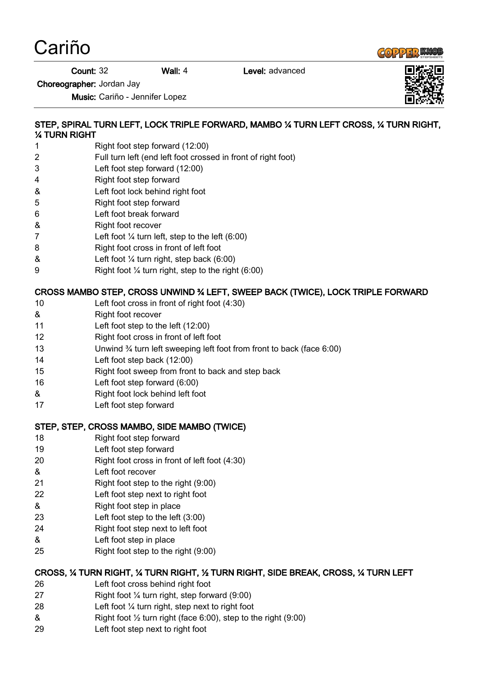Cariño



**Count: 32 Wall: 4** Level: advanced

Choreographer: Jordan Jay

Music: Cariño - Jennifer Lopez

### STEP, SPIRAL TURN LEFT, LOCK TRIPLE FORWARD, MAMBO ¼ TURN LEFT CROSS, ¼ TURN RIGHT, ¼ TURN RIGHT

- 1 Right foot step forward (12:00)
- 2 Full turn left (end left foot crossed in front of right foot)
- 3 Left foot step forward (12:00)
- 4 Right foot step forward
- & Left foot lock behind right foot
- 5 Right foot step forward
- 6 Left foot break forward
- & Right foot recover
- 7 Left foot  $\frac{1}{4}$  turn left, step to the left (6:00)
- 8 Right foot cross in front of left foot
- $\&$  Left foot  $\frac{1}{4}$  turn right, step back (6:00)
- 9 Right foot ¼ turn right, step to the right (6:00)

## CROSS MAMBO STEP, CROSS UNWIND ¾ LEFT, SWEEP BACK (TWICE), LOCK TRIPLE FORWARD

- 10 Left foot cross in front of right foot (4:30)
- & Right foot recover
- 11 Left foot step to the left (12:00)
- 12 Right foot cross in front of left foot
- 13 Unwind ¾ turn left sweeping left foot from front to back (face 6:00)
- 14 Left foot step back (12:00)
- 15 Right foot sweep from front to back and step back
- 16 Left foot step forward (6:00)
- & Right foot lock behind left foot
- 17 Left foot step forward

### STEP, STEP, CROSS MAMBO, SIDE MAMBO (TWICE)

- 18 Right foot step forward
- 19 Left foot step forward
- 20 Right foot cross in front of left foot (4:30)
- & Left foot recover
- 21 Right foot step to the right (9:00)
- 22 Left foot step next to right foot
- & Right foot step in place
- 23 Left foot step to the left (3:00)
- 24 Right foot step next to left foot
- & Left foot step in place
- 25 Right foot step to the right (9:00)

### CROSS, ¼ TURN RIGHT, ¼ TURN RIGHT, ½ TURN RIGHT, SIDE BREAK, CROSS, ¼ TURN LEFT

- 26 Left foot cross behind right foot
- 27 Right foot ¼ turn right, step forward (9:00)
- 28 Left foot ¼ turn right, step next to right foot
- $\&$  Right foot  $\frac{1}{2}$  turn right (face 6:00), step to the right (9:00)
- 29 Left foot step next to right foot